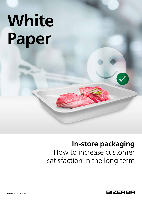# **White Paper**

## **In-store packaging**

How to increase customer satisfaction in the long term

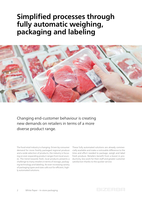## **Simplified processes through fully automatic weighing, packaging and labeling**



Changing end-customer behaviour is creating new demands on retailers in terms of a more diverse product range.

The food retail industry is changing. Driven by consumer demand for more freshly packaged regional produce and a wide selection of products, the industry is focusing on ever-expanding product ranges from local sources. The trend towards fresh, local products presents a challenge to many retailers in terms of storage, packaging technology and labeling. An ever-increasing variety of packaging types and sizes calls out for efficient, highly automated solutions.

These fully automated solutions are already commercially available and make a noticeable difference to the time and effort needed to package, weigh and label fresh produce. Retailers benefit from a boost in productivity, less work for their staff and greater customer satisfaction thanks to the quicker service.

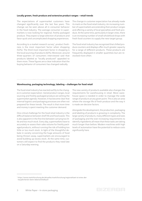#### **Locally grown, fresh produce and extensive product ranges – retail trends**

The expectations of supermarket customers have changed significantly over the last few years. This change can be seen above all in consumer behavior in the food industry. The average consumer in supermarkets is now looking for regional, freshly packaged produce. They expect a large selection of products and favor quick and uncomplicated shopping experiences.

According to a market research survey<sup>1</sup>, product freshness is the most important factor when shopping (52%). The third most important factor in shopping is the local sourcing of products (42%). Moreover, around three-quarters of consumers interviewed said that products labeled as "locally produced" appealed to them more. These figures are a clear indication that the buying behavior of consumers has changed radically.

The change in customer expectation has already made its mark on the food retail industry. An increasing number of supermarkets are extending their product ranges and offering a variety of local specialties and fresh produce. At the same time, particularly in larger cities, there is an increasing number of small wholefood shops with fresh food counters to supply the new target group.

The food retail industry has recognized that chilled produce counters and displays offer much greater capacity for a range of different products. These products are frequently displayed in smaller quantities but are restocked more often.

#### **Warehousing, packaging technology, labeling – challenges for food retail**

The food retail industry has reacted swiftly to the changes in customer expectation. Varied product ranges, local sourcing and freshly packaged produce are setting the supermarket agenda. However, it has become clear that internal logistics and packaging processes are often not prepared for these trends. The result is that more time and money is spent meeting the customer demand.

One critical challenge for the food retail industry is the difficult balance between shelf life and food waste. This is also apparent in the fine line between carrying too little and too much stock. Every day, supermarkets have to accurately re-assess their sales volume for freshly packaged products, without running the risk of holding too little or too much stock. In light of the thoughtful debate in society concerning the huge amounts of food being thrown away, supermarkets are encouraged to avoid building up excess stock. At the same time, customers still expect to find the products they need late on a Saturday evening.

The new variety of products available also changes the requirements for warehousing in retail. More warehouse space is needed in order to manage the wide range of products at any given point. This is also an area where the storage life of fresh produce and the way it is made are decisive factors.

Alongside this development, the production, packaging and labeling of products is growing in complexity. The large variety of products, many different types and sizes of packaging and the ever-increasing requirements to identify ingredients all mean that these tasks are taking much longer than before. Modern machines with high levels of automation have the potential to reduce costs significantly here.



<sup>1</sup> https://www.marktforschung.de/aktuelles/marktforschung/regionalitaet-ist-eines-derhauptkriterien-beim-lebensmittelkauf/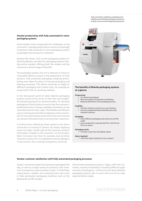Fully automatic weighing, packaging and labelling with Bizerba packaging machines enable a more varied shopping experience.

#### **Greater productivity with fully automated in-store packaging systems**

Food retailers have recognized the challenges set by consumers' changing expectations and are increasingly investing in fully automatic in-store packaging systems to package fresh produce on demand.

Systems like these, such as the packaging systems offered by Bizerba, are ideal for packaging produce flexibly and as needed, offering both the retailer and the consumer a whole range of benefits.

The packaging systems are rich in features to ensure a noticeable efficiency boost in the preparation of fresh produce. Fully automatic packaging, weighing and labeling now takes the place of manual packaging and labeling processes. This allows machines to adapt to different packaging and content sizes, for example by using stretch film as a packing material.

In the fast-paced world of retail, Bizerba packaging systems stand out by virtue of their fast and straightforward processing of on-demand orders. On-demand packaging of fresh produce ensures that the customer's preferred product is always available and shelves can be restocked several times a day. This flexible and efficient way of working also benefits employees as the automation of manual processes means they have less to do and can devote themselves fully to serving their customers.

A further bonus offered by these systems is the direct connection to existing IT systems. By simply supplying some core data, retailers get all the necessary product information straight to the consumer via the product label. Consumers can then, for example, look at where a product comes from, its ingredients and any allergens it may contain, thus creating transparency and trust.



#### **The benefits of Bizerba packaging systems at a glance:**

#### **Productivity:**

- $\checkmark$  On-demand packaging
- $\checkmark$  More throughput and greater profitability
- $\checkmark$  Reduced downtime in the packaging process

#### **Usability:**

- $\checkmark$  Intuitive machine controls via a user interface
- $\checkmark$  Uses the established Bizerba RetailPowerScale
- standard software

#### **Flexibility:**

- $\checkmark$  Packs different packaging sizes with just one film width
- $\checkmark$  Uses standard film materials like PVC, with PE and PO as an option

#### **Packaging result:**

 $\checkmark$  Virtually crease-free and tightly sealed

#### **Space required:**

 $\checkmark$  Little floor space required as very compact

#### **Greater customer satisfaction with fully automated packaging processes**

Today's consumers expect local produce packaged that day, as well as a large variety of products with maximum transparency about product origin. To fulfil these expectations, retailers are investing more and more in fully automated packaging machines such as the Bizerba B2 and B3 models.

Attractively presented produce, happy staff and customers, maximum flexibility in handling different types and sizes of packaging – to find out more about Bizerba packaging systems, get in touch with one of our sales representatives today.